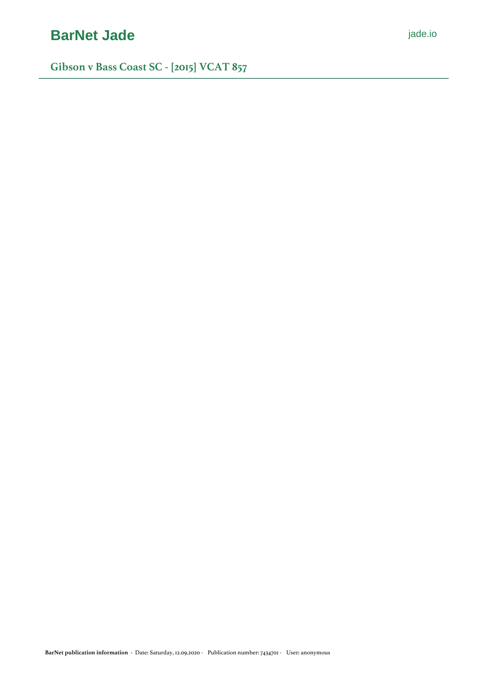# **[BarNet Jade](https://jade.io/)** *[jade.io](https://jade.io/)*

**Gibson v Bass Coast SC - [2015] VCAT 857**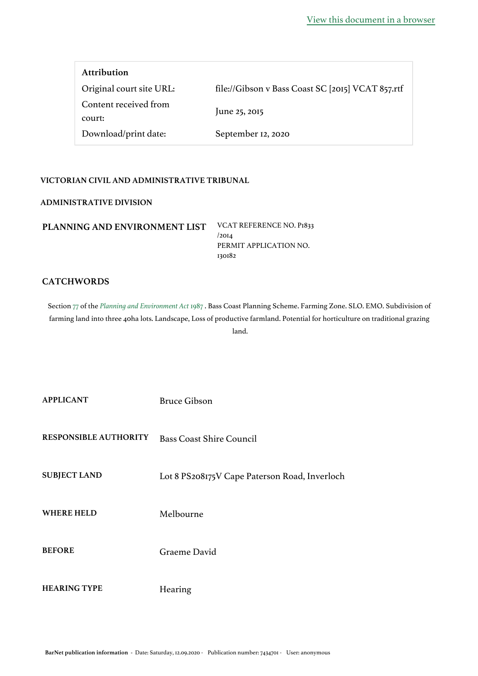| <b>Attribution</b>              |                                                   |
|---------------------------------|---------------------------------------------------|
| Original court site URL:        | file://Gibson v Bass Coast SC [2015] VCAT 857.rtf |
| Content received from<br>court: | June 25, 2015                                     |
| Download/print date:            | September 12, 2020                                |

#### **VICTORIAN CIVIL AND ADMINISTRATIVE TRIBUNAL**

#### **ADMINISTRATIVE DIVISION**

| PLANNING AND ENVIRONMENT LIST | VCAT REFERENCE NO. P1833 |
|-------------------------------|--------------------------|
|                               | /20I <sub>A</sub>        |
|                               | PERMIT APPLICATION NO.   |
|                               | 130182                   |

### **CATCHWORDS**

Section [77](https://jade.io/article/282428/section/638) of the *[Planning and Environment Act](https://jade.io/article/282428)* [1987](https://jade.io/article/282428) . Bass Coast Planning Scheme. Farming Zone. SLO. EMO. Subdivision of farming land into three 40ha lots. Landscape, Loss of productive farmland. Potential for horticulture on traditional grazing land.

**APPLICANT** Bruce Gibson

**RESPONSIBLE AUTHORITY** Bass Coast Shire Council

**SUBJECT LAND** Lot 8 PS208175V Cape Paterson Road, Inverloch

WHERE HELD Melbourne

**BEFORE** Graeme David

**HEARING TYPE** Hearing

BarNet publication information - Date: Saturday, 12.09.2020 - Publication number: 7434701 - User: anonymous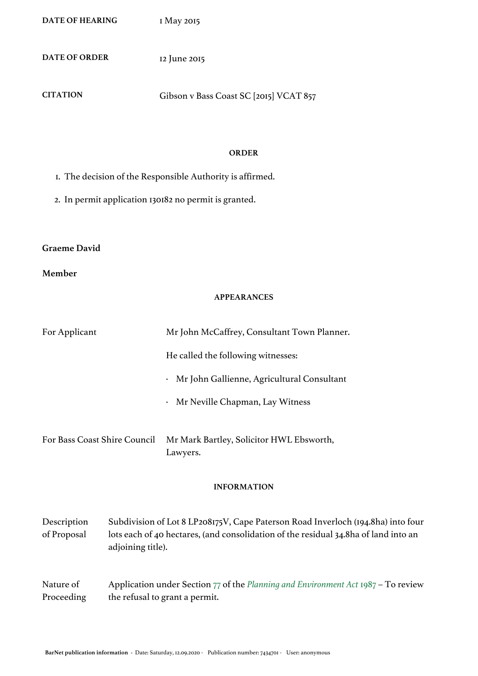**DATE OF HEARING** 1 May 2015

**DATE OF ORDER** 12 June 2015

**CITATION** Gibson v Bass Coast SC [2015] VCAT 857

#### **ORDER**

- 1. The decision of the Responsible Authority is affirmed.
- 2. In permit application 130182 no permit is granted.

### **Graeme David**

#### **Member**

#### **APPEARANCES**

| For Applicant                |                   | Mr John McCaffrey, Consultant Town Planner.                                                                                                                             |
|------------------------------|-------------------|-------------------------------------------------------------------------------------------------------------------------------------------------------------------------|
|                              |                   | He called the following witnesses:                                                                                                                                      |
|                              |                   | Mr John Gallienne, Agricultural Consultant<br>$\bullet$                                                                                                                 |
|                              |                   | · Mr Neville Chapman, Lay Witness                                                                                                                                       |
| For Bass Coast Shire Council |                   | Mr Mark Bartley, Solicitor HWL Ebsworth,<br>Lawyers.                                                                                                                    |
|                              |                   | <b>INFORMATION</b>                                                                                                                                                      |
| Description<br>of Proposal   | adjoining title). | Subdivision of Lot 8 LP208175V, Cape Paterson Road Inverloch (194.8ha) into four<br>lots each of 40 hectares, (and consolidation of the residual 34.8ha of land into an |

#### Nature of Proceeding Application under Section [77](https://jade.io/article/282428/section/638) of the *[Planning and Environment Act](https://jade.io/article/282428)* [1987](https://jade.io/article/282428) – To review the refusal to grant a permit.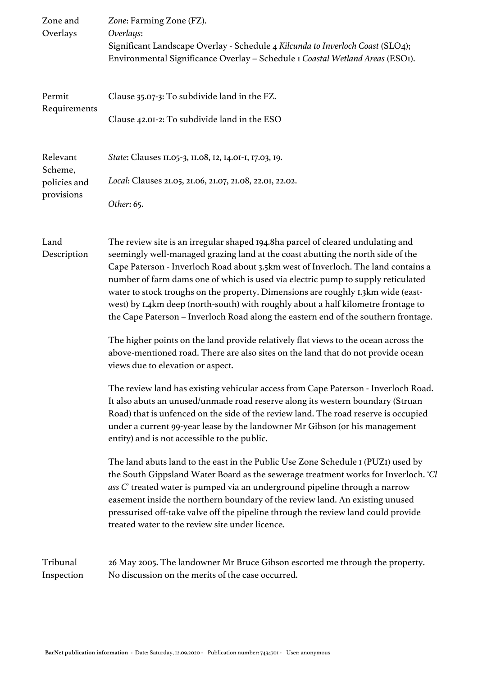| Zone and<br>Overlays                              | Zone: Farming Zone (FZ).<br>Overlays:<br>Significant Landscape Overlay - Schedule 4 Kilcunda to Inverloch Coast (SLO4);<br>Environmental Significance Overlay - Schedule I Coastal Wetland Areas (ESOI).                                                                                                                                                                                                                                                                                                                                                                                                   |
|---------------------------------------------------|------------------------------------------------------------------------------------------------------------------------------------------------------------------------------------------------------------------------------------------------------------------------------------------------------------------------------------------------------------------------------------------------------------------------------------------------------------------------------------------------------------------------------------------------------------------------------------------------------------|
| Permit<br>Requirements                            | Clause 35.07-3: To subdivide land in the FZ.<br>Clause 42.01-2: To subdivide land in the ESO                                                                                                                                                                                                                                                                                                                                                                                                                                                                                                               |
| Relevant<br>Scheme,<br>policies and<br>provisions | State: Clauses II.05-3, II.08, I2, I4.0I-I, I7.03, I9.<br>Local: Clauses 21.05, 21.06, 21.07, 21.08, 22.01, 22.02.<br>Other: 65.                                                                                                                                                                                                                                                                                                                                                                                                                                                                           |
| Land<br>Description                               | The review site is an irregular shaped 194.8ha parcel of cleared undulating and<br>seemingly well-managed grazing land at the coast abutting the north side of the<br>Cape Paterson - Inverloch Road about 3.5km west of Inverloch. The land contains a<br>number of farm dams one of which is used via electric pump to supply reticulated<br>water to stock troughs on the property. Dimensions are roughly 1.3km wide (east-<br>west) by I.4km deep (north-south) with roughly about a half kilometre frontage to<br>the Cape Paterson - Inverloch Road along the eastern end of the southern frontage. |
|                                                   | The higher points on the land provide relatively flat views to the ocean across the<br>above-mentioned road. There are also sites on the land that do not provide ocean<br>views due to elevation or aspect.                                                                                                                                                                                                                                                                                                                                                                                               |
|                                                   | The review land has existing vehicular access from Cape Paterson - Inverloch Road.<br>It also abuts an unused/unmade road reserve along its western boundary (Struan<br>Road) that is unfenced on the side of the review land. The road reserve is occupied<br>under a current 99-year lease by the landowner Mr Gibson (or his management<br>entity) and is not accessible to the public.                                                                                                                                                                                                                 |
|                                                   | The land abuts land to the east in the Public Use Zone Schedule I (PUZI) used by<br>the South Gippsland Water Board as the sewerage treatment works for Inverloch. 'C<br>ass C' treated water is pumped via an underground pipeline through a narrow<br>easement inside the northern boundary of the review land. An existing unused<br>pressurised off-take valve off the pipeline through the review land could provide<br>treated water to the review site under licence.                                                                                                                               |
| Tribunal<br>Inspection                            | 26 May 2005. The landowner Mr Bruce Gibson escorted me through the property.<br>No discussion on the merits of the case occurred.                                                                                                                                                                                                                                                                                                                                                                                                                                                                          |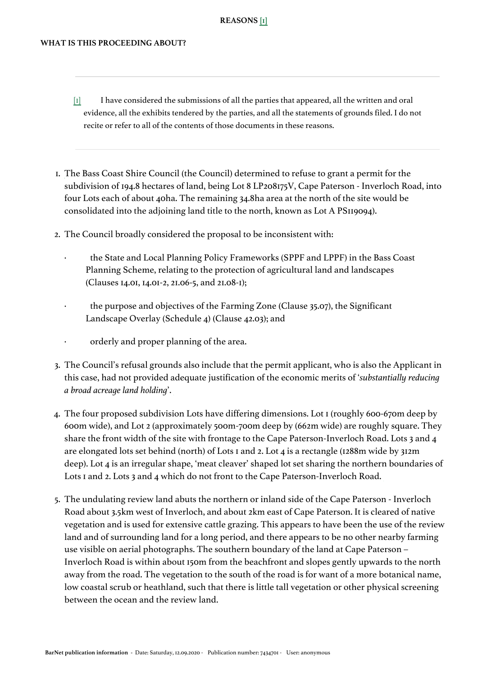#### **REASONS [\[1\]](#page-4-0)**

#### <span id="page-4-1"></span><span id="page-4-0"></span>**WHAT IS THIS PROCEEDING ABOUT?**

- [\[1\]](#page-4-1) I have considered the submissions of all the parties that appeared, all the written and oral evidence, all the exhibits tendered by the parties, and all the statements of grounds filed. I do not recite or refer to all of the contents of those documents in these reasons.
- 1. The Bass Coast Shire Council (the Council) determined to refuse to grant a permit for the subdivision of 194.8 hectares of land, being Lot 8 LP208175V, Cape Paterson - Inverloch Road, into four Lots each of about 40ha. The remaining 34.8ha area at the north of the site would be consolidated into the adjoining land title to the north, known as Lot A PS119094).
- 2. The Council broadly considered the proposal to be inconsistent with:
	- the State and Local Planning Policy Frameworks (SPPF and LPPF) in the Bass Coast Planning Scheme, relating to the protection of agricultural land and landscapes (Clauses 14.01, 14.01-2, 21.06-5, and 21.08-1);
	- · the purpose and objectives of the Farming Zone (Clause 35.07), the Significant Landscape Overlay (Schedule 4) (Clause 42.03); and
	- orderly and proper planning of the area.
- 3. The Council's refusal grounds also include that the permit applicant, who is also the Applicant in this case, had not provided adequate justification of the economic merits of '*substantially reducing a broad acreage land holding*'.
- 4. The four proposed subdivision Lots have differing dimensions. Lot 1 (roughly 600-670m deep by 600m wide), and Lot 2 (approximately 500m-700m deep by (662m wide) are roughly square. They share the front width of the site with frontage to the Cape Paterson-Inverloch Road. Lots 3 and 4 are elongated lots set behind (north) of Lots 1 and 2. Lot 4 is a rectangle (1288m wide by 312m deep). Lot 4 is an irregular shape, 'meat cleaver' shaped lot set sharing the northern boundaries of Lots 1 and 2. Lots 3 and 4 which do not front to the Cape Paterson-Inverloch Road.
- 5. The undulating review land abuts the northern or inland side of the Cape Paterson Inverloch Road about 3.5km west of Inverloch, and about 2km east of Cape Paterson. It is cleared of native vegetation and is used for extensive cattle grazing. This appears to have been the use of the review land and of surrounding land for a long period, and there appears to be no other nearby farming use visible on aerial photographs. The southern boundary of the land at Cape Paterson – Inverloch Road is within about 150m from the beachfront and slopes gently upwards to the north away from the road. The vegetation to the south of the road is for want of a more botanical name, low coastal scrub or heathland, such that there is little tall vegetation or other physical screening between the ocean and the review land.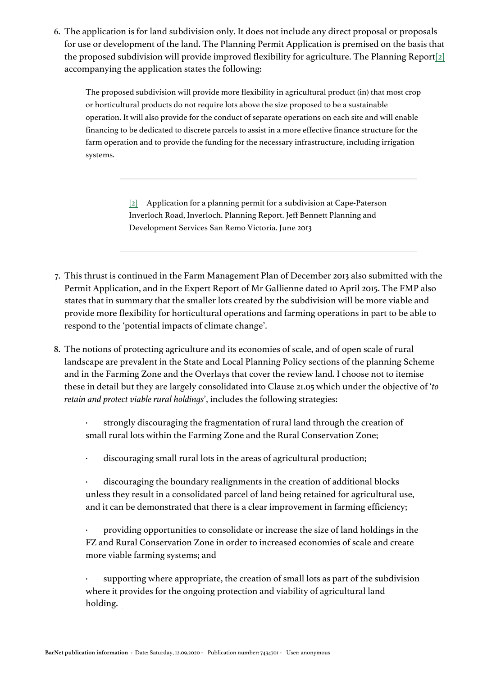<span id="page-5-1"></span>6. The application is for land subdivision only. It does not include any direct proposal or proposals for use or development of the land. The Planning Permit Application is premised on the basis that the proposed subdivision will provide improved flexibility for agriculture. The Planning Report $[2]$ accompanying the application states the following:

The proposed subdivision will provide more flexibility in agricultural product (in) that most crop or horticultural products do not require lots above the size proposed to be a sustainable operation. It will also provide for the conduct of separate operations on each site and will enable financing to be dedicated to discrete parcels to assist in a more effective finance structure for the farm operation and to provide the funding for the necessary infrastructure, including irrigation systems.

> [\[2\]](#page-5-1) Application for a planning permit for a subdivision at Cape-Paterson Inverloch Road, Inverloch. Planning Report. Jeff Bennett Planning and Development Services San Remo Victoria. June 2013

- <span id="page-5-0"></span>7. This thrust is continued in the Farm Management Plan of December 2013 also submitted with the Permit Application, and in the Expert Report of Mr Gallienne dated 10 April 2015. The FMP also states that in summary that the smaller lots created by the subdivision will be more viable and provide more flexibility for horticultural operations and farming operations in part to be able to respond to the 'potential impacts of climate change'.
- 8. The notions of protecting agriculture and its economies of scale, and of open scale of rural landscape are prevalent in the State and Local Planning Policy sections of the planning Scheme and in the Farming Zone and the Overlays that cover the review land. I choose not to itemise these in detail but they are largely consolidated into Clause 21.05 which under the objective of '*to retain and protect viable rural holdings*', includes the following strategies:
	- strongly discouraging the fragmentation of rural land through the creation of small rural lots within the Farming Zone and the Rural Conservation Zone;
	- discouraging small rural lots in the areas of agricultural production;
	- discouraging the boundary realignments in the creation of additional blocks unless they result in a consolidated parcel of land being retained for agricultural use, and it can be demonstrated that there is a clear improvement in farming efficiency;

· providing opportunities to consolidate or increase the size of land holdings in the FZ and Rural Conservation Zone in order to increased economies of scale and create more viable farming systems; and

supporting where appropriate, the creation of small lots as part of the subdivision where it provides for the ongoing protection and viability of agricultural land holding.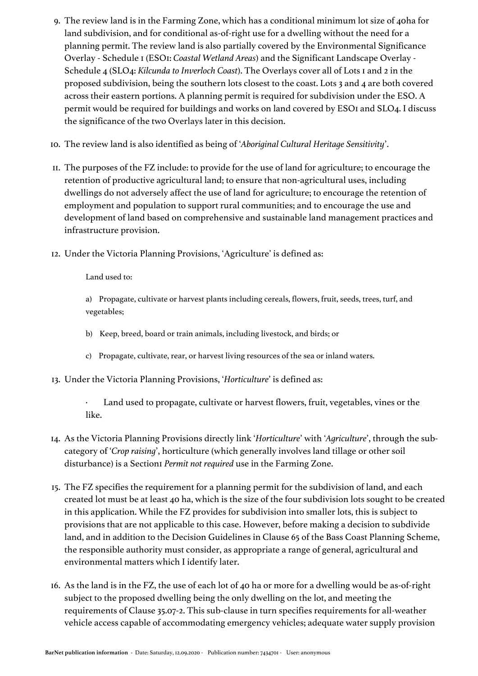- 9. The review land is in the Farming Zone, which has a conditional minimum lot size of 40ha for land subdivision, and for conditional as-of-right use for a dwelling without the need for a planning permit. The review land is also partially covered by the Environmental Significance Overlay - Schedule 1 (ESO1: *Coastal Wetland Areas*) and the Significant Landscape Overlay - Schedule 4 (SLO4: *Kilcunda to Inverloch Coast*). The Overlays cover all of Lots 1 and 2 in the proposed subdivision, being the southern lots closest to the coast. Lots 3 and 4 are both covered across their eastern portions. A planning permit is required for subdivision under the ESO. A permit would be required for buildings and works on land covered by ESOI and SLO4. I discuss the significance of the two Overlays later in this decision.
- 10. The review land is also identified as being of '*Aboriginal Cultural Heritage Sensitivity*'.
- 11. The purposes of the FZ include: to provide for the use of land for agriculture; to encourage the retention of productive agricultural land; to ensure that non-agricultural uses, including dwellings do not adversely affect the use of land for agriculture; to encourage the retention of employment and population to support rural communities; and to encourage the use and development of land based on comprehensive and sustainable land management practices and infrastructure provision.
- 12. Under the Victoria Planning Provisions, 'Agriculture' is defined as:

Land used to:

a) Propagate, cultivate or harvest plants including cereals, flowers, fruit, seeds, trees, turf, and vegetables;

- b) Keep, breed, board or train animals, including livestock, and birds; or
- c) Propagate, cultivate, rear, or harvest living resources of the sea or inland waters.
- 13. Under the Victoria Planning Provisions, '*Horticulture*' is defined as:

· Land used to propagate, cultivate or harvest flowers, fruit, vegetables, vines or the like.

- 14. As the Victoria Planning Provisions directly link '*Horticulture*' with '*Agriculture*', through the subcategory of '*Crop raising*', horticulture (which generally involves land tillage or other soil disturbance) is a Section1 *Permit not required* use in the Farming Zone.
- 15. The FZ specifies the requirement for a planning permit for the subdivision of land, and each created lot must be at least 40 ha, which is the size of the four subdivision lots sought to be created in this application. While the FZ provides for subdivision into smaller lots, this is subject to provisions that are not applicable to this case. However, before making a decision to subdivide land, and in addition to the Decision Guidelines in Clause 65 of the Bass Coast Planning Scheme, the responsible authority must consider, as appropriate a range of general, agricultural and environmental matters which I identify later.
- 16. As the land is in the FZ, the use of each lot of 40 ha or more for a dwelling would be as-of-right subject to the proposed dwelling being the only dwelling on the lot, and meeting the requirements of Clause 35.07-2. This sub-clause in turn specifies requirements for all-weather vehicle access capable of accommodating emergency vehicles; adequate water supply provision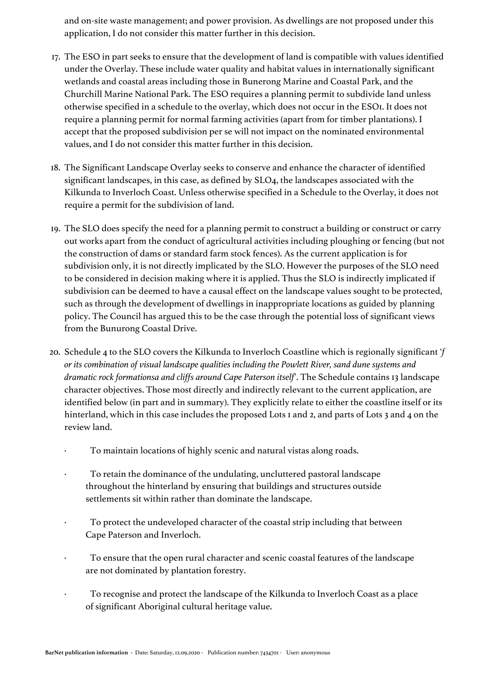and on-site waste management; and power provision. As dwellings are not proposed under this application, I do not consider this matter further in this decision.

- 17. The ESO in part seeks to ensure that the development of land is compatible with values identified under the Overlay. These include water quality and habitat values in internationally significant wetlands and coastal areas including those in Bunerong Marine and Coastal Park, and the Churchill Marine National Park. The ESO requires a planning permit to subdivide land unless otherwise specified in a schedule to the overlay, which does not occur in the ESO1. It does not require a planning permit for normal farming activities (apart from for timber plantations). I accept that the proposed subdivision per se will not impact on the nominated environmental values, and I do not consider this matter further in this decision.
- 18. The Significant Landscape Overlay seeks to conserve and enhance the character of identified significant landscapes, in this case, as defined by SLO4, the landscapes associated with the Kilkunda to Inverloch Coast. Unless otherwise specified in a Schedule to the Overlay, it does not require a permit for the subdivision of land.
- 19. The SLO does specify the need for a planning permit to construct a building or construct or carry out works apart from the conduct of agricultural activities including ploughing or fencing (but not the construction of dams or standard farm stock fences). As the current application is for subdivision only, it is not directly implicated by the SLO. However the purposes of the SLO need to be considered in decision making where it is applied. Thus the SLO is indirectly implicated if subdivision can be deemed to have a causal effect on the landscape values sought to be protected, such as through the development of dwellings in inappropriate locations as guided by planning policy. The Council has argued this to be the case through the potential loss of significant views from the Bunurong Coastal Drive.
- 20. Schedule 4 to the SLO covers the Kilkunda to Inverloch Coastline which is regionally significant '*f or its combination of visual landscape qualities including the Powlett River, sand dune systems and dramatic rock formationsa and cliffs around Cape Paterson itself*'. The Schedule contains 13 landscape character objectives. Those most directly and indirectly relevant to the current application, are identified below (in part and in summary). They explicitly relate to either the coastline itself or its hinterland, which in this case includes the proposed Lots I and 2, and parts of Lots 3 and 4 on the review land.
	- · To maintain locations of highly scenic and natural vistas along roads.
	- To retain the dominance of the undulating, uncluttered pastoral landscape throughout the hinterland by ensuring that buildings and structures outside settlements sit within rather than dominate the landscape.
	- To protect the undeveloped character of the coastal strip including that between Cape Paterson and Inverloch.
	- To ensure that the open rural character and scenic coastal features of the landscape are not dominated by plantation forestry.
	- To recognise and protect the landscape of the Kilkunda to Inverloch Coast as a place of significant Aboriginal cultural heritage value.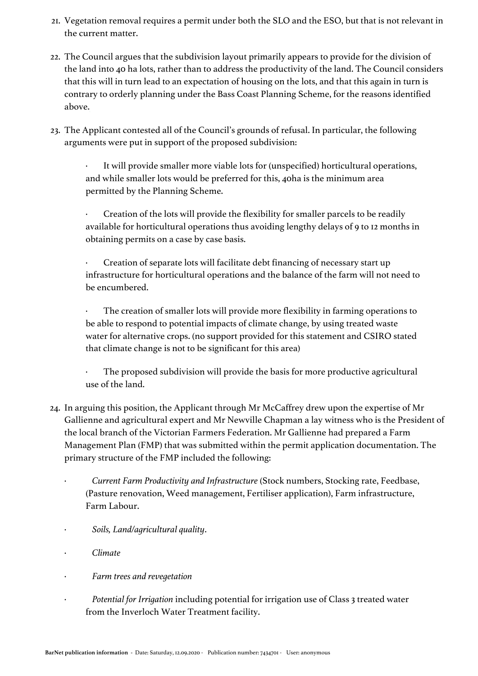- 21. Vegetation removal requires a permit under both the SLO and the ESO, but that is not relevant in the current matter.
- 22. The Council argues that the subdivision layout primarily appears to provide for the division of the land into 40 ha lots, rather than to address the productivity of the land. The Council considers that this will in turn lead to an expectation of housing on the lots, and that this again in turn is contrary to orderly planning under the Bass Coast Planning Scheme, for the reasons identified above.
- 23. The Applicant contested all of the Council's grounds of refusal. In particular, the following arguments were put in support of the proposed subdivision:

It will provide smaller more viable lots for (unspecified) horticultural operations, and while smaller lots would be preferred for this, 40ha is the minimum area permitted by the Planning Scheme.

Creation of the lots will provide the flexibility for smaller parcels to be readily available for horticultural operations thus avoiding lengthy delays of 9 to 12 months in obtaining permits on a case by case basis.

Creation of separate lots will facilitate debt financing of necessary start up infrastructure for horticultural operations and the balance of the farm will not need to be encumbered.

The creation of smaller lots will provide more flexibility in farming operations to be able to respond to potential impacts of climate change, by using treated waste water for alternative crops. (no support provided for this statement and CSIRO stated that climate change is not to be significant for this area)

The proposed subdivision will provide the basis for more productive agricultural use of the land.

- 24. In arguing this position, the Applicant through Mr McCaffrey drew upon the expertise of Mr Gallienne and agricultural expert and Mr Newville Chapman a lay witness who is the President of the local branch of the Victorian Farmers Federation. Mr Gallienne had prepared a Farm Management Plan (FMP) that was submitted within the permit application documentation. The primary structure of the FMP included the following:
	- · *Current Farm Productivity and Infrastructure* (Stock numbers, Stocking rate, Feedbase, (Pasture renovation, Weed management, Fertiliser application), Farm infrastructure, Farm Labour.
	- · *Soils, Land/agricultural quality*.
	- · *Climate*
	- · *Farm trees and revegetation*
	- Potential for Irrigation including potential for irrigation use of Class 3 treated water from the Inverloch Water Treatment facility.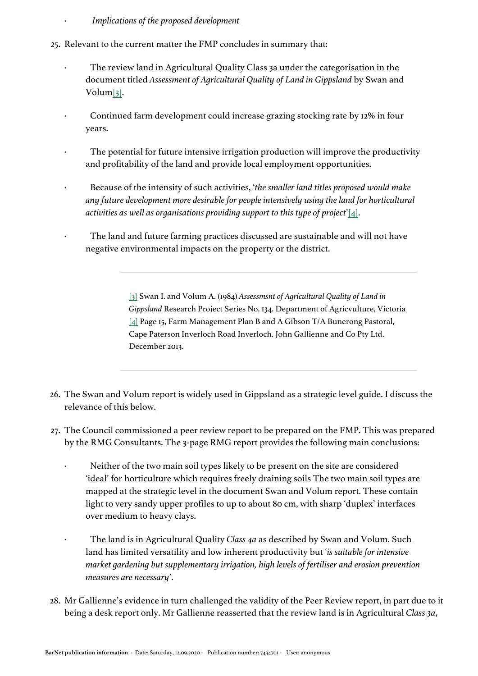- · *Implications of the proposed development*
- <span id="page-9-2"></span>25. Relevant to the current matter the FMP concludes in summary that:
	- · The review land in Agricultural Quality Class 3a under the categorisation in the document titled *Assessment of Agricultural Quality of Land in Gippsland* by Swan and Volu[m\[3\]](#page-9-0).
	- Continued farm development could increase grazing stocking rate by 12% in four years.
	- The potential for future intensive irrigation production will improve the productivity and profitability of the land and provide local employment opportunities.
	- · Because of the intensity of such activities, '*the smaller land titles proposed would make any future development more desirable for people intensively using the land for horticultural activities as well as organisations providing support to this type of project*'[\[4\]](#page-9-1).
	- The land and future farming practices discussed are sustainable and will not have negative environmental impacts on the property or the district.

<span id="page-9-3"></span>[\[3\]](#page-9-2) Swan I. and Volum A. (1984) *Assessmsnt of Agricultural Quality of Land in Gippsland* Research Project Series No. 134. Department of Agricvulture, Victoria [\[4\]](#page-9-3) Page 15, Farm Management Plan B and A Gibson T/A Bunerong Pastoral, Cape Paterson Inverloch Road Inverloch. John Gallienne and Co Pty Ltd. December 2013.

- <span id="page-9-1"></span><span id="page-9-0"></span>26. The Swan and Volum report is widely used in Gippsland as a strategic level guide. I discuss the relevance of this below.
- 27. The Council commissioned a peer review report to be prepared on the FMP. This was prepared by the RMG Consultants. The 3-page RMG report provides the following main conclusions:
	- Neither of the two main soil types likely to be present on the site are considered 'ideal' for horticulture which requires freely draining soils The two main soil types are mapped at the strategic level in the document Swan and Volum report. These contain light to very sandy upper profiles to up to about 80 cm, with sharp 'duplex' interfaces over medium to heavy clays.
		- · The land is in Agricultural Quality *Class 4a* as described by Swan and Volum. Such land has limited versatility and low inherent productivity but '*is suitable for intensive market gardening but supplementary irrigation, high levels of fertiliser and erosion prevention measures are necessary*'.
- 28. Mr Gallienne's evidence in turn challenged the validity of the Peer Review report, in part due to it being a desk report only. Mr Gallienne reasserted that the review land is in Agricultural *Class 3a*,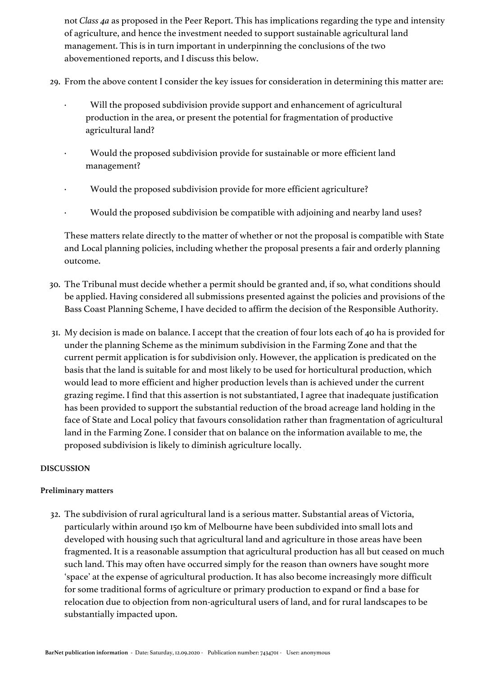not *Class 4a* as proposed in the Peer Report. This has implications regarding the type and intensity of agriculture, and hence the investment needed to support sustainable agricultural land management. This is in turn important in underpinning the conclusions of the two abovementioned reports, and I discuss this below.

- 29. From the above content I consider the key issues for consideration in determining this matter are:
	- Will the proposed subdivision provide support and enhancement of agricultural production in the area, or present the potential for fragmentation of productive agricultural land?
	- · Would the proposed subdivision provide for sustainable or more efficient land management?
	- · Would the proposed subdivision provide for more efficient agriculture?
	- · Would the proposed subdivision be compatible with adjoining and nearby land uses?

These matters relate directly to the matter of whether or not the proposal is compatible with State and Local planning policies, including whether the proposal presents a fair and orderly planning outcome.

- 30. The Tribunal must decide whether a permit should be granted and, if so, what conditions should be applied. Having considered all submissions presented against the policies and provisions of the Bass Coast Planning Scheme, I have decided to affirm the decision of the Responsible Authority.
- 31. My decision is made on balance. I accept that the creation of four lots each of 40 ha is provided for under the planning Scheme as the minimum subdivision in the Farming Zone and that the current permit application is for subdivision only. However, the application is predicated on the basis that the land is suitable for and most likely to be used for horticultural production, which would lead to more efficient and higher production levels than is achieved under the current grazing regime. I find that this assertion is not substantiated, I agree that inadequate justification has been provided to support the substantial reduction of the broad acreage land holding in the face of State and Local policy that favours consolidation rather than fragmentation of agricultural land in the Farming Zone. I consider that on balance on the information available to me, the proposed subdivision is likely to diminish agriculture locally.

#### **DISCUSSION**

#### **Preliminary matters**

32. The subdivision of rural agricultural land is a serious matter. Substantial areas of Victoria, particularly within around 150 km of Melbourne have been subdivided into small lots and developed with housing such that agricultural land and agriculture in those areas have been fragmented. It is a reasonable assumption that agricultural production has all but ceased on much such land. This may often have occurred simply for the reason than owners have sought more 'space' at the expense of agricultural production. It has also become increasingly more difficult for some traditional forms of agriculture or primary production to expand or find a base for relocation due to objection from non-agricultural users of land, and for rural landscapes to be substantially impacted upon.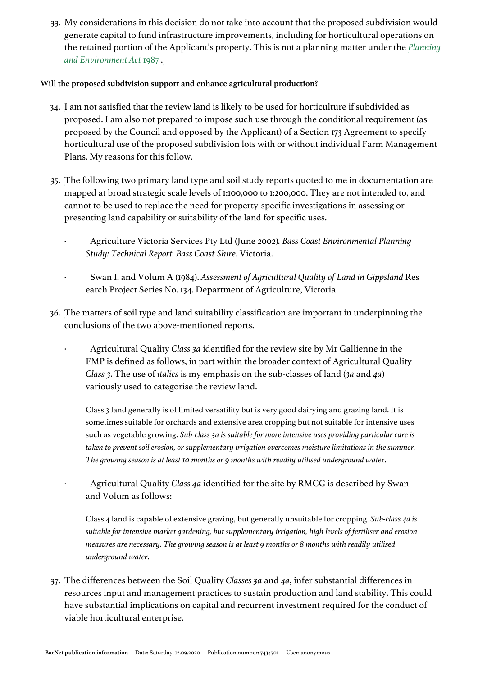33. My considerations in this decision do not take into account that the proposed subdivision would generate capital to fund infrastructure improvements, including for horticultural operations on the retained portion of the Applicant's property. This is not a planning matter under the *[Planning](https://jade.io/article/282428)  [and Environment Act](https://jade.io/article/282428)* [1987](https://jade.io/article/282428) .

#### **Will the proposed subdivision support and enhance agricultural production?**

- 34. I am not satisfied that the review land is likely to be used for horticulture if subdivided as proposed. I am also not prepared to impose such use through the conditional requirement (as proposed by the Council and opposed by the Applicant) of a Section 173 Agreement to specify horticultural use of the proposed subdivision lots with or without individual Farm Management Plans. My reasons for this follow.
- 35. The following two primary land type and soil study reports quoted to me in documentation are mapped at broad strategic scale levels of 1:100,000 to 1:200,000. They are not intended to, and cannot to be used to replace the need for property-specific investigations in assessing or presenting land capability or suitability of the land for specific uses.
	- · Agriculture Victoria Services Pty Ltd (June 2002)*. Bass Coast Environmental Planning Study: Technical Report. Bass Coast Shire*. Victoria.
	- · Swan I. and Volum A (1984). *Assessment of Agricultural Quality of Land in Gippsland* Res earch Project Series No. 134. Department of Agriculture, Victoria
- 36. The matters of soil type and land suitability classification are important in underpinning the conclusions of the two above-mentioned reports.
	- · Agricultural Quality *Class 3a* identified for the review site by Mr Gallienne in the FMP is defined as follows, in part within the broader context of Agricultural Quality *Class 3*. The use of *italics* is my emphasis on the sub-classes of land (*3a* and *4a*) variously used to categorise the review land.

Class 3 land generally is of limited versatility but is very good dairying and grazing land. It is sometimes suitable for orchards and extensive area cropping but not suitable for intensive uses such as vegetable growing. *Sub-class 3a is suitable for more intensive uses providing particular care is taken to prevent soil erosion, or supplementary irrigation overcomes moisture limitations in the summer. The growing season is at least 10 months or 9 months with readily utilised underground wate*r.

· Agricultural Quality *Class 4a* identified for the site by RMCG is described by Swan and Volum as follows:

Class 4 land is capable of extensive grazing, but generally unsuitable for cropping. *Sub-class 4a is suitable for intensive market gardening, but supplementary irrigation, high levels of fertiliser and erosion measures are necessary. The growing season is at least 9 months or 8 months with readily utilised underground water*.

37. The differences between the Soil Quality *Classes 3a* and *4a*, infer substantial differences in resources input and management practices to sustain production and land stability. This could have substantial implications on capital and recurrent investment required for the conduct of viable horticultural enterprise.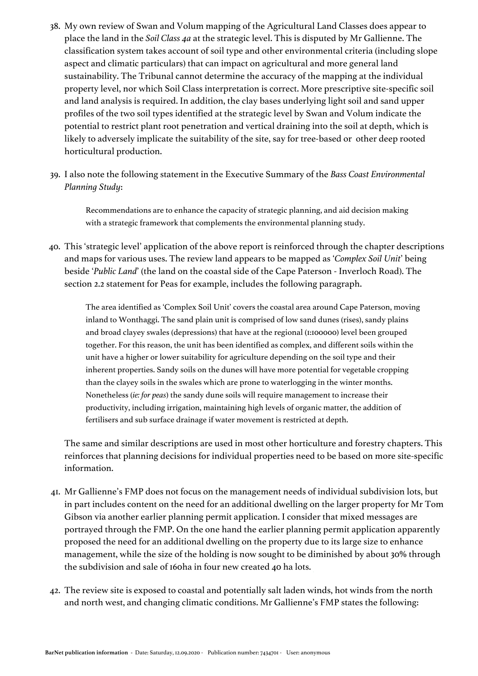- 38. My own review of Swan and Volum mapping of the Agricultural Land Classes does appear to place the land in the *Soil Class 4a* at the strategic level. This is disputed by Mr Gallienne. The classification system takes account of soil type and other environmental criteria (including slope aspect and climatic particulars) that can impact on agricultural and more general land sustainability. The Tribunal cannot determine the accuracy of the mapping at the individual property level, nor which Soil Class interpretation is correct. More prescriptive site-specific soil and land analysis is required. In addition, the clay bases underlying light soil and sand upper profiles of the two soil types identified at the strategic level by Swan and Volum indicate the potential to restrict plant root penetration and vertical draining into the soil at depth, which is likely to adversely implicate the suitability of the site, say for tree-based or other deep rooted horticultural production.
- 39. I also note the following statement in the Executive Summary of the *Bass Coast Environmental Planning Study*:

Recommendations are to enhance the capacity of strategic planning, and aid decision making with a strategic framework that complements the environmental planning study.

40. This 'strategic level' application of the above report is reinforced through the chapter descriptions and maps for various uses. The review land appears to be mapped as '*Complex Soil Unit*' being beside '*Public Land*' (the land on the coastal side of the Cape Paterson - Inverloch Road). The section 2.2 statement for Peas for example, includes the following paragraph.

The area identified as 'Complex Soil Unit' covers the coastal area around Cape Paterson, moving inland to Wonthaggi. The sand plain unit is comprised of low sand dunes (rises), sandy plains and broad clayey swales (depressions) that have at the regional (1:100000) level been grouped together. For this reason, the unit has been identified as complex, and different soils within the unit have a higher or lower suitability for agriculture depending on the soil type and their inherent properties. Sandy soils on the dunes will have more potential for vegetable cropping than the clayey soils in the swales which are prone to waterlogging in the winter months. Nonetheless (*ie: for peas*) the sandy dune soils will require management to increase their productivity, including irrigation, maintaining high levels of organic matter, the addition of fertilisers and sub surface drainage if water movement is restricted at depth.

The same and similar descriptions are used in most other horticulture and forestry chapters. This reinforces that planning decisions for individual properties need to be based on more site-specific information.

- 41. Mr Gallienne's FMP does not focus on the management needs of individual subdivision lots, but in part includes content on the need for an additional dwelling on the larger property for Mr Tom Gibson via another earlier planning permit application. I consider that mixed messages are portrayed through the FMP. On the one hand the earlier planning permit application apparently proposed the need for an additional dwelling on the property due to its large size to enhance management, while the size of the holding is now sought to be diminished by about 30% through the subdivision and sale of 160ha in four new created 40 ha lots.
- 42. The review site is exposed to coastal and potentially salt laden winds, hot winds from the north and north west, and changing climatic conditions. Mr Gallienne's FMP states the following: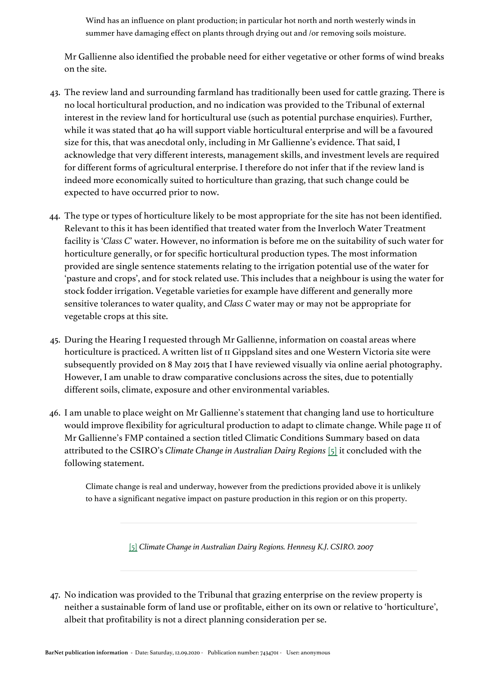Wind has an influence on plant production; in particular hot north and north westerly winds in summer have damaging effect on plants through drying out and /or removing soils moisture.

Mr Gallienne also identified the probable need for either vegetative or other forms of wind breaks on the site.

- 43. The review land and surrounding farmland has traditionally been used for cattle grazing. There is no local horticultural production, and no indication was provided to the Tribunal of external interest in the review land for horticultural use (such as potential purchase enquiries). Further, while it was stated that 40 ha will support viable horticultural enterprise and will be a favoured size for this, that was anecdotal only, including in Mr Gallienne's evidence. That said, I acknowledge that very different interests, management skills, and investment levels are required for different forms of agricultural enterprise. I therefore do not infer that if the review land is indeed more economically suited to horticulture than grazing, that such change could be expected to have occurred prior to now.
- 44. The type or types of horticulture likely to be most appropriate for the site has not been identified. Relevant to this it has been identified that treated water from the Inverloch Water Treatment facility is '*Class C*' water. However, no information is before me on the suitability of such water for horticulture generally, or for specific horticultural production types. The most information provided are single sentence statements relating to the irrigation potential use of the water for 'pasture and crops', and for stock related use. This includes that a neighbour is using the water for stock fodder irrigation. Vegetable varieties for example have different and generally more sensitive tolerances to water quality, and *Class C* water may or may not be appropriate for vegetable crops at this site.
- 45. During the Hearing I requested through Mr Gallienne, information on coastal areas where horticulture is practiced. A written list of 11 Gippsland sites and one Western Victoria site were subsequently provided on 8 May 2015 that I have reviewed visually via online aerial photography. However, I am unable to draw comparative conclusions across the sites, due to potentially different soils, climate, exposure and other environmental variables.
- <span id="page-13-1"></span>46. I am unable to place weight on Mr Gallienne's statement that changing land use to horticulture would improve flexibility for agricultural production to adapt to climate change. While page 11 of Mr Gallienne's FMP contained a section titled Climatic Conditions Summary based on data attributed to the CSIRO's *Climate Change in Australian Dairy Regions* [\[5\]](#page-13-0) it concluded with the following statement.

Climate change is real and underway, however from the predictions provided above it is unlikely to have a significant negative impact on pasture production in this region or on this property.

[\[5\]](#page-13-1) *Climate Change in Australian Dairy Regions. Hennesy K.J. CSIRO. 2007*

<span id="page-13-0"></span>47. No indication was provided to the Tribunal that grazing enterprise on the review property is neither a sustainable form of land use or profitable, either on its own or relative to 'horticulture', albeit that profitability is not a direct planning consideration per se.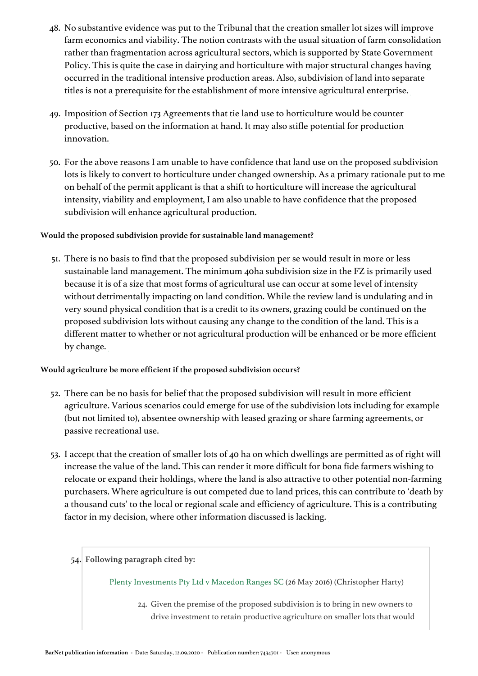- 48. No substantive evidence was put to the Tribunal that the creation smaller lot sizes will improve farm economics and viability. The notion contrasts with the usual situation of farm consolidation rather than fragmentation across agricultural sectors, which is supported by State Government Policy. This is quite the case in dairying and horticulture with major structural changes having occurred in the traditional intensive production areas. Also, subdivision of land into separate titles is not a prerequisite for the establishment of more intensive agricultural enterprise.
- 49. Imposition of Section 173 Agreements that tie land use to horticulture would be counter productive, based on the information at hand. It may also stifle potential for production innovation.
- 50. For the above reasons I am unable to have confidence that land use on the proposed subdivision lots is likely to convert to horticulture under changed ownership. As a primary rationale put to me on behalf of the permit applicant is that a shift to horticulture will increase the agricultural intensity, viability and employment, I am also unable to have confidence that the proposed subdivision will enhance agricultural production.

#### **Would the proposed subdivision provide for sustainable land management?**

51. There is no basis to find that the proposed subdivision per se would result in more or less sustainable land management. The minimum 40ha subdivision size in the FZ is primarily used because it is of a size that most forms of agricultural use can occur at some level of intensity without detrimentally impacting on land condition. While the review land is undulating and in very sound physical condition that is a credit to its owners, grazing could be continued on the proposed subdivision lots without causing any change to the condition of the land. This is a different matter to whether or not agricultural production will be enhanced or be more efficient by change.

#### **Would agriculture be more efficient if the proposed subdivision occurs?**

- 52. There can be no basis for belief that the proposed subdivision will result in more efficient agriculture. Various scenarios could emerge for use of the subdivision lots including for example (but not limited to), absentee ownership with leased grazing or share farming agreements, or passive recreational use.
- 53. I accept that the creation of smaller lots of 40 ha on which dwellings are permitted as of right will increase the value of the land. This can render it more difficult for bona fide farmers wishing to relocate or expand their holdings, where the land is also attractive to other potential non-farming purchasers. Where agriculture is out competed due to land prices, this can contribute to 'death by a thousand cuts' to the local or regional scale and efficiency of agriculture. This is a contributing factor in my decision, where other information discussed is lacking.
	- 54. **Following paragraph cited by:**

Plenty Investments Pty Ltd v Macedon Ranges SC (26 May 2016) (Christopher Harty)

24. Given the premise of the proposed subdivision is to bring in new owners to drive investment to retain productive agriculture on smaller lots that would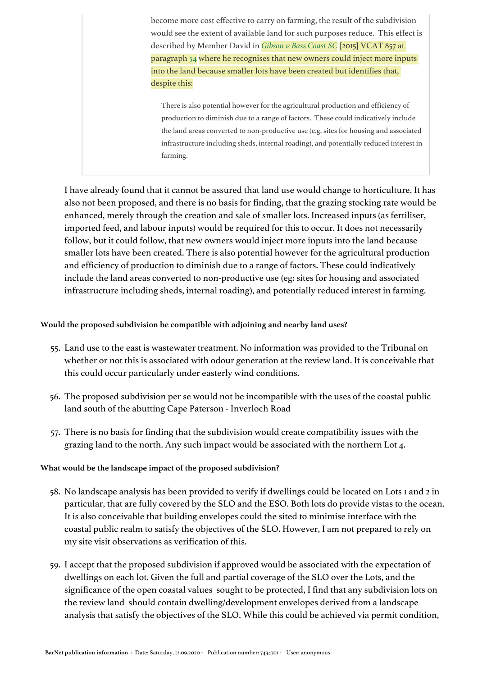become more cost effective to carry on farming, the result of the subdivision would see the extent of available land for such purposes reduce. This effect is described by Member David in *[Gibson v Bass Coast SC](https://jade.io/article/398466)* [2015] VCAT 857 at paragraph [54](https://jade.io/article/398466/section/788) where he recognises that new owners could inject more inputs into the land because smaller lots have been created but identifies that, despite this:

There is also potential however for the agricultural production and efficiency of production to diminish due to a range of factors. These could indicatively include the land areas converted to non-productive use (e.g. sites for housing and associated infrastructure including sheds, internal roading), and potentially reduced interest in farming.

I have already found that it cannot be assured that land use would change to horticulture. It has also not been proposed, and there is no basis for finding, that the grazing stocking rate would be enhanced, merely through the creation and sale of smaller lots. Increased inputs (as fertiliser, imported feed, and labour inputs) would be required for this to occur. It does not necessarily follow, but it could follow, that new owners would inject more inputs into the land because smaller lots have been created. There is also potential however for the agricultural production and efficiency of production to diminish due to a range of factors. These could indicatively include the land areas converted to non-productive use (eg: sites for housing and associated infrastructure including sheds, internal roading), and potentially reduced interest in farming.

#### **Would the proposed subdivision be compatible with adjoining and nearby land uses?**

- 55. Land use to the east is wastewater treatment. No information was provided to the Tribunal on whether or not this is associated with odour generation at the review land. It is conceivable that this could occur particularly under easterly wind conditions.
- 56. The proposed subdivision per se would not be incompatible with the uses of the coastal public land south of the abutting Cape Paterson - Inverloch Road
- 57. There is no basis for finding that the subdivision would create compatibility issues with the grazing land to the north. Any such impact would be associated with the northern Lot 4.

#### **What would be the landscape impact of the proposed subdivision?**

- 58. No landscape analysis has been provided to verify if dwellings could be located on Lots 1 and 2 in particular, that are fully covered by the SLO and the ESO. Both lots do provide vistas to the ocean. It is also conceivable that building envelopes could the sited to minimise interface with the coastal public realm to satisfy the objectives of the SLO. However, I am not prepared to rely on my site visit observations as verification of this.
- 59. I accept that the proposed subdivision if approved would be associated with the expectation of dwellings on each lot. Given the full and partial coverage of the SLO over the Lots, and the significance of the open coastal values sought to be protected, I find that any subdivision lots on the review land should contain dwelling/development envelopes derived from a landscape analysis that satisfy the objectives of the SLO. While this could be achieved via permit condition,